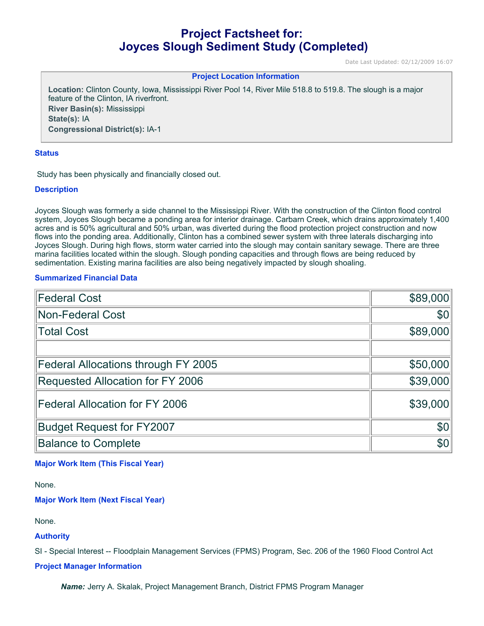# **Project Factsheet for: Joyces Slough Sediment Study (Completed)**

Date Last Updated: 02/12/2009 16:07

## **Project Location Information**

**Location:** Clinton County, Iowa, Mississippi River Pool 14, River Mile 518.8 to 519.8. The slough is a major feature of the Clinton, IA riverfront. **River Basin(s):** Mississippi **State(s):** IA **Congressional District(s):** IA-1

#### **Status**

Study has been physically and financially closed out.

#### **Description**

Joyces Slough was formerly a side channel to the Mississippi River. With the construction of the Clinton flood control system, Joyces Slough became a ponding area for interior drainage. Carbarn Creek, which drains approximately 1,400 acres and is 50% agricultural and 50% urban, was diverted during the flood protection project construction and now flows into the ponding area. Additionally, Clinton has a combined sewer system with three laterals discharging into Joyces Slough. During high flows, storm water carried into the slough may contain sanitary sewage. There are three marina facilities located within the slough. Slough ponding capacities and through flows are being reduced by sedimentation. Existing marina facilities are also being negatively impacted by slough shoaling.

#### **Summarized Financial Data**

| <b>Federal Cost</b>                 | \$89,000 |
|-------------------------------------|----------|
| <b>Non-Federal Cost</b>             | \$0      |
| <b>Total Cost</b>                   | \$89,000 |
|                                     |          |
| Federal Allocations through FY 2005 | \$50,000 |
| Requested Allocation for FY 2006    | \$39,000 |
| Federal Allocation for FY 2006      | \$39,000 |
| <b>Budget Request for FY2007</b>    | \$0      |
| <b>Balance to Complete</b>          | \$0      |

# **Major Work Item (This Fiscal Year)**

None.

**Major Work Item (Next Fiscal Year)**

None.

#### **Authority**

SI - Special Interest -- Floodplain Management Services (FPMS) Program, Sec. 206 of the 1960 Flood Control Act

## **Project Manager Information**

*Name:* Jerry A. Skalak, Project Management Branch, District FPMS Program Manager